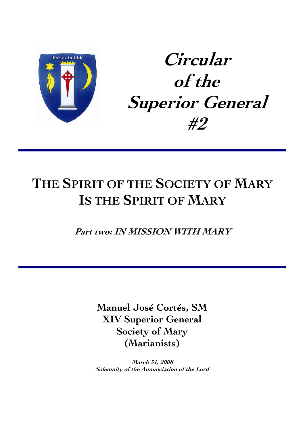

# **Circular of the Superior General #2**

# **THE SPIRIT OF THE SOCIETY OF MARY IS THE SPIRIT OF MARY**

**Part two: IN MISSION WITH MARY** 

**Manuel José Cortés, SM XIV Superior General Society of Mary (Marianists)** 

**March 31, 2008 Solemnity of the Annunciation of the Lord**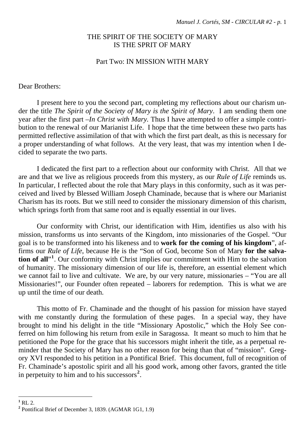# THE SPIRIT OF THE SOCIETY OF MARY IS THE SPRIT OF MARY

# Part Two: IN MISSION WITH MARY

#### Dear Brothers:

I present here to you the second part, completing my reflections about our charism under the title *The Spirit of the Society of Mary is the Spirit of Mary*. I am sending them one year after the first part –*In Christ with Mary.* Thus I have attempted to offer a simple contribution to the renewal of our Marianist Life. I hope that the time between these two parts has permitted reflective assimilation of that with which the first part dealt, as this is necessary for a proper understanding of what follows. At the very least, that was my intention when I decided to separate the two parts.

I dedicated the first part to a reflection about our conformity with Christ. All that we are and that we live as religious proceeds from this mystery, as our *Rule of Life* reminds us. In particular, I reflected about the role that Mary plays in this conformity, such as it was perceived and lived by Blessed William Joseph Chaminade, because that is where our Marianist Charism has its roots. But we still need to consider the missionary dimension of this charism, which springs forth from that same root and is equally essential in our lives.

Our conformity with Christ, our identification with Him, identifies us also with his mission, transforms us into servants of the Kingdom, into missionaries of the Gospel. "Our goal is to be transformed into his likeness and to **work for the coming of his kingdom**", affirms our *Rule of Life*, because He is the "Son of God, become Son of Mary **for the salva-**tion of all<sup>"[1](#page-2-0)</sup>. Our conformity with Christ implies our commitment with Him to the salvation of humanity. The missionary dimension of our life is, therefore, an essential element which we cannot fail to live and cultivate. We are, by our very nature, missionaries – "You are all Missionaries!", our Founder often repeated – laborers for redemption. This is what we are up until the time of our death.

This motto of Fr. Chaminade and the thought of his passion for mission have stayed with me constantly during the formulation of these pages. In a special way, they have brought to mind his delight in the title "Missionary Apostolic," which the Holy See conferred on him following his return from exile in Saragossa. It meant so much to him that he petitioned the Pope for the grace that his successors might inherit the title, as a perpetual reminder that the Society of Mary has no other reason for being than that of "mission". Gregory XVI responded to his petition in a Pontifical Brief. This document, full of recognition of Fr. Chaminade's apostolic spirit and all his good work, among other favors, granted the title in perpetuity to him and to his successors**[2](#page-2-1)** .

<span id="page-2-0"></span> $\frac{1}{1}$  RL 2.

<span id="page-2-1"></span>**<sup>2</sup>** Pontifical Brief of December 3, 1839. (AGMAR 1G1, 1.9)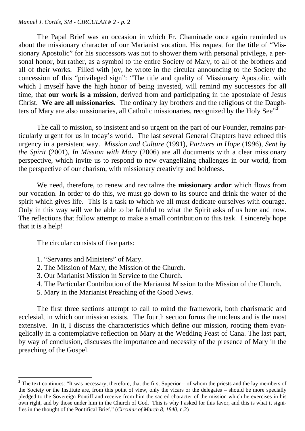The Papal Brief was an occasion in which Fr. Chaminade once again reminded us about the missionary character of our Marianist vocation. His request for the title of "Missionary Apostolic" for his successors was not to shower them with personal privilege, a personal honor, but rather, as a symbol to the entire Society of Mary, to all of the brothers and all of their works. Filled with joy, he wrote in the circular announcing to the Society the concession of this "privileged sign": "The title and quality of Missionary Apostolic, with which I myself have the high honor of being invested, will remind my successors for all time, that **our work is a mission**, derived from and participating in the apostolate of Jesus Christ. **We are all missionaries.** The ordinary lay brothers and the religious of the Dau[g](#page-3-0)hters of Mary are also missionaries, all Catholic missionaries, recognized by the Holy See"**[3](#page-3-0)**

The call to mission, so insistent and so urgent on the part of our Founder, remains particularly urgent for us in today's world. The last several General Chapters have echoed this urgency in a persistent way. *Mission and Culture* (1991), *Partners in Hope* (1996), *Sent by the Spirit* (2001), *In Mission with Mary* (2006) are all documents with a clear missionary perspective, which invite us to respond to new evangelizing challenges in our world, from the perspective of our charism, with missionary creativity and boldness.

We need, therefore, to renew and revitalize the **missionary ardor** which flows from our vocation. In order to do this, we must go down to its source and drink the water of the spirit which gives life. This is a task to which we all must dedicate ourselves with courage. Only in this way will we be able to be faithful to what the Spirit asks of us here and now. The reflections that follow attempt to make a small contribution to this task. I sincerely hope that it is a help!

The circular consists of five parts:

<u>.</u>

- 1. "Servants and Ministers" of Mary.
- 2. The Mission of Mary, the Mission of the Church.
- 3. Our Marianist Mission in Service to the Church.
- 4. The Particular Contribution of the Marianist Mission to the Mission of the Church.
- 5. Mary in the Marianist Preaching of the Good News.

 The first three sections attempt to call to mind the framework, both charismatic and ecclesial, in which our mission exists. The fourth section forms the nucleus and is the most extensive. In it, I discuss the characteristics which define our mission, rooting them evangelically in a contemplative reflection on Mary at the Wedding Feast of Cana. The last part, by way of conclusion, discusses the importance and necessity of the presence of Mary in the preaching of the Gospel.

<span id="page-3-0"></span><sup>&</sup>lt;sup>3</sup> The text continues: "It was necessary, therefore, that the first Superior – of whom the priests and the lay members of the Society or the Institute are, from this point of view, only the vicars or the delegates – should be more specially pledged to the Sovereign Pontiff and receive from him the sacred character of the mission which he exercises in his own right, and by those under him in the Church of God. This is why I asked for this favor, and this is what it signifies in the thought of the Pontifical Brief." (*Circular of March 8, 1840,* n.2)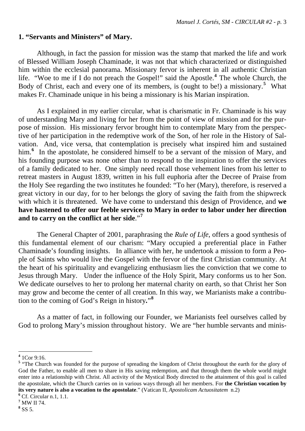# **1. "Servants and Ministers" of Mary.**

Although, in fact the passion for mission was the stamp that marked the life and work of Blessed William Joseph Chaminade, it was not that which characterized or distinguished him within the ecclesial panorama. Missionary fervor is inherent in all authentic Christian life. "Woe to me if I do not preach the Gospel!" said the Apostle.**[4](#page-4-0)** The whole Church, the Body of Christ, each and every one of its members, is (ought to be!) a missionary.<sup>[5](#page-4-1)</sup> What makes Fr. Chaminade unique in his being a missionary is his Marian inspiration.

As I explained in my earlier circular, what is charismatic in Fr. Chaminade is his way of understanding Mary and living for her from the point of view of mission and for the purpose of mission. His missionary fervor brought him to contemplate Mary from the perspective of her participation in the redemptive work of the Son, of her role in the History of Salvation. And, vice versa, that contemplation is precisely what inspired him and sustained him.**[6](#page-4-2)** In the apostolate, he considered himself to be a servant of the mission of Mary, and his founding purpose was none other than to respond to the inspiration to offer the services of a family dedicated to her. One simply need recall those vehement lines from his letter to retreat masters in August 1839, written in his full euphoria after the Decree of Praise from the Holy See regarding the two institutes he founded: "To her (Mary), therefore, is reserved a great victory in our day, for to her belongs the glory of saving the faith from the shipwreck with which it is threatened. We have come to understand this design of Providence, and **we have hastened to offer our feeble service[s](#page-4-3) to Mary in order to labor under her direction and to carry on the conflict at her side**."**[7](#page-4-3)**

The General Chapter of 2001, paraphrasing the *Rule of Life*, offers a good synthesis of this fundamental element of our charism: "Mary occupied a preferential place in Father Chaminade's founding insights. In alliance with her, he undertook a mission to form a People of Saints who would live the Gospel with the fervor of the first Christian community. At the heart of his spirituality and evangelizing enthusiasm lies the conviction that we come to Jesus through Mary. Under the influence of the Holy Spirit, Mary conforms us to her Son. We dedicate ourselves to her to prolong her maternal charity on earth, so that Christ her Son may grow and become the center of all creatio[n](#page-4-4). In this way, we Marianists make a contribution to the coming of God's Reign in history*.*"**[8](#page-4-4)**

As a matter of fact, in following our Founder, we Marianists feel ourselves called by God to prolong Mary's mission throughout history. We are "her humble servants and minis-

<span id="page-4-0"></span>**<sup>4</sup>** 1Cor 9:16.

<span id="page-4-1"></span><sup>&</sup>lt;sup>5</sup> "The Church was founded for the purpose of spreading the kingdom of Christ throughout the earth for the glory of God the Father, to enable all men to share in His saving redemption, and that through them the whole world might enter into a relationship with Christ. All activity of the Mystical Body directed to the attainment of this goal is called the apostolate, which the Church carries on in various ways through all her members. For **the Christian vocation by its very nature is also a vocation to the apostolate**." (Vatican II, *Apostolicam Actuositatem* n.2)

<span id="page-4-2"></span>**<sup>6</sup>** Cf. Circular n.1, 1.1.

<span id="page-4-4"></span><span id="page-4-3"></span>**<sup>7</sup>** MW II 74.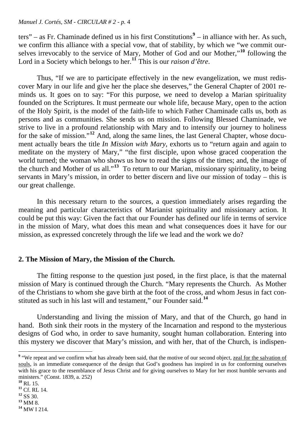ters" – as Fr. Chaminade defined us in his first Constitutions<sup>[9](#page-5-0)</sup> – in alliance with her. As such, we confirm this alliance with a special vow, that of stability, by which we "we commit ourselves irrevocably to the service of Mary, Mother of God and our Mother,"**[10](#page-5-1)** following the Lord in a Society which belongs to her.**[11](#page-5-2)** This is our *raison d'être*.

Thus, "If we are to participate effectively in the new evangelization, we must rediscover Mary in our life and give her the place she deserves," the General Chapter of 2001 reminds us. It goes on to say: "For this purpose, we need to develop a Marian spirituality founded on the Scriptures. It must permeate our whole life, because Mary, open to the action of the Holy Spirit, is the model of the faith-life to which Father Chaminade calls us, both as persons and as communities. She sends us on mission. Following Blessed Chaminade, we strive to live in a profound relationship with Mary and to intensify our journey to holiness for the sake of mission."<sup>[12](#page-5-3)</sup> And, along the same lines, the last General Chapter, whose document actually bears the title *In Mission with Mary*, exhorts us to "return again and again to meditate on the mystery of Mary," "the first disciple, upon whose graced cooperation the world turned; the woman who shows us how to read the signs of the times; and, the image of the church and Mother of us all."**[13](#page-5-4)** To return to our Marian, missionary spirituality, to being servants in Mary's mission, in order to better discern and live our mission of today – this is our great challenge.

In this necessary return to the sources, a question immediately arises regarding the meaning and particular characteristics of Marianist spirituality and missionary action. It could be put this way: Given the fact that our Founder has defined our life in terms of service in the mission of Mary, what does this mean and what consequences does it have for our mission, as expressed concretely through the life we lead and the work we do?

# **2. The Mission of Mary, the Mission of the Church.**

The fitting response to the question just posed, in the first place, is that the maternal mission of Mary is continued through the Church. "Mary represents the Church. As Mother of the Christians to whom she gave birth at the foot of the cross, and whom Jesus in fact constituted as such in his last will and testament," our Founder said.**[14](#page-5-5)**

Understanding and living the mission of Mary, and that of the Church, go hand in hand. Both sink their roots in the mystery of the Incarnation and respond to the mysterious designs of God who, in order to save humanity, sought human collaboration. Entering into this mystery we discover that Mary's mission, and with her, that of the Church, is indispen-

<span id="page-5-0"></span><sup>&</sup>lt;sup>9</sup> "We repeat and we confirm what has already been said, that the motive of our second object, zeal for the salvation of souls, is an immediate consequence of the design that God's goodness has inspired in us for conforming ourselves with his grace to the resemblance of Jesus Christ and for giving ourselves to Mary for her most humble servants and ministers." (Const. 1839, a. 252)

<span id="page-5-1"></span>**<sup>10</sup>** RL 15.

<span id="page-5-2"></span>**<sup>11</sup>** Cf. RL 14.

<span id="page-5-3"></span>**<sup>12</sup>** SS 30.

<span id="page-5-4"></span>**<sup>13</sup>** MM 8.

<span id="page-5-5"></span>**<sup>14</sup>** MW I 214.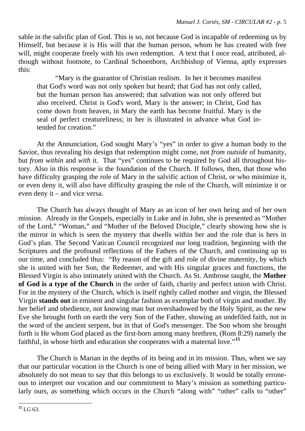sable in the salvific plan of God. This is so, not because God is incapable of redeeming us by Himself, but because it is His will that the human person, whom he has created with free will, might cooperate freely with his own redemption. A text that I once read, attributed, although without footnote, to Cardinal Schoenborn, Archbishop of Vienna, aptly expresses this:

"Mary is the guarantor of Christian realism. In her it becomes manifest that God's word was not only spoken but heard; that God has not only called, but the human person has answered; that salvation was not only offered but also received. Christ is God's word, Mary is the answer; in Christ, God has come down from heaven, in Mary the earth has become fruitful. Mary is the seal of perfect creatureliness; in her is illustrated in advance what God intended for creation."

At the Annunciation, God sought Mary's "yes" in order to give a human body to the Savior, thus revealing his design that redemption might come, not *from outside* of humanity, but *from within* and *with* it. That "yes" continues to be required by God all throughout history. Also in this response is the foundation of the Church. If follows, then, that those who have difficulty grasping the role of Mary in the salvific action of Christ, or who minimize it, or even deny it, will also have difficulty grasping the role of the Church, will minimize it or even deny it – and vice versa.

The Church has always thought of Mary as an icon of her own being and of her own mission. Already in the Gospels, especially in Luke and in John, she is presented as "Mother of the Lord," "Woman," and "Mother of the Beloved Disciple," clearly showing how she is the mirror in which is seen the mystery that dwells within her and the role that is hers in God's plan. The Second Vatican Council recognized our long tradition, beginning with the Scriptures and the profound reflections of the Fathers of the Church, and continuing up to our time, and concluded thus: "By reason of the gift and role of divine maternity, by which she is united with her Son, the Redeemer, and with His singular graces and functions, the Blessed Virgin is also intimately united with the Church. As St. Ambrose taught, the **Mother of God is a type of the Church** in the order of faith, charity and perfect union with Christ. For in the mystery of the Church, which is itself rightly called mother and virgin, the Blessed Virgin **stands out** in eminent and singular fashion as exemplar both of virgin and mother. By her belief and obedience, not knowing man but overshadowed by the Holy Spirit, as the new Eve she brought forth on earth the very Son of the Father, showing an undefiled faith, not in the word of the ancient serpent, but in that of God's messenger. The Son whom she brought forth is He whom God placed as the first-born among many brethren, (Rom [8:](#page-6-0)29) namely the faithful, in whose birth and education she cooperates with a maternal love."**[15](#page-6-0)**

The Church is Marian in the depths of its being and in its mission. Thus, when we say that our particular vocation in the Church is one of being allied with Mary in her mission, we absolutely do not mean to say that this belongs to us exclusively. It would be totally erroneous to interpret our vocation and our commitment to Mary's mission as something particularly ours, as something which occurs in the Church "along with" "other" calls to "other"

<span id="page-6-0"></span><sup>&</sup>lt;u>.</u>  $15$  LG 63.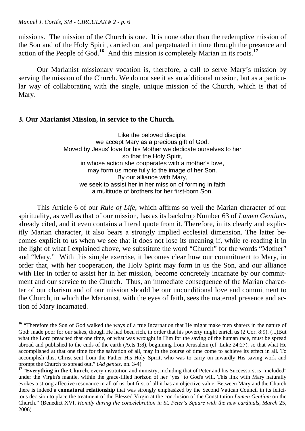1

missions. The mission of the Church is one. It is none other than the redemptive mission of the Son and of the Holy Spirit, carried out and perpetuated in time through the pre[s](#page-7-1)ence and action of the People of God.<sup>[16](#page-7-0)</sup> And this mission is completely Marian in its roots.<sup>[17](#page-7-1)</sup>

 Our Marianist missionary vocation is, therefore, a call to serve Mary's mission by serving the mission of the Church. We do not see it as an additional mission, but as a particular way of collaborating with the single, unique mission of the Church, which is that of Mary.

# **3. Our Marianist Mission, in service to the Church.**

Like the beloved disciple, we accept Mary as a precious gift of God. Moved by Jesus' love for his Mother we dedicate ourselves to her so that the Holy Spirit, in whose action she cooperates with a mother's love, may form us more fully to the image of her Son. By our alliance with Mary, we seek to assist her in her mission of forming in faith a multitude of brothers for her first-born Son.

This Article 6 of our *Rule of Life*, which affirms so well the Marian character of our spirituality, as well as that of our mission, has as its backdrop Number 63 of *Lumen Gentium,*  already cited, and it even contains a literal quote from it. Therefore, in its clearly and explicitly Marian character, it also bears a strongly implied ecclesial dimension. The latter becomes explicit to us when we see that it does not lose its meaning if, while re-reading it in the light of what I explained above, we substitute the word "Church" for the words "Mother" and "Mary." With this simple exercise, it becomes clear how our commitment to Mary, in order that, with her cooperation, the Holy Spirit may form in us the Son, and our alliance with Her in order to assist her in her mission, become concretely incarnate by our commitment and our service to the Church. Thus, an immediate consequence of the Marian character of our charism and of our mission should be our unconditional love and commitment to the Church, in which the Marianist, with the eyes of faith, sees the maternal presence and action of Mary incarnated.

<span id="page-7-0"></span><sup>&</sup>lt;sup>16</sup> "Therefore the Son of God walked the ways of a true Incarnation that He might make men sharers in the nature of God: made poor for our sakes, though He had been rich, in order that his poverty might enrich us (2 Cor. 8:9). (...)But what the Lord preached that one time, or what was wrought in Him for the saving of the human race, must be spread abroad and published to the ends of the earth (Acts 1:8), beginning from Jerusalem (cf. Luke 24:27), so that what He accomplished at that one time for the salvation of all, may in the course of time come to achieve its effect in all. To accomplish this, Christ sent from the Father His Holy Spirit, who was to carry on inwardly His saving work and prompt the Church to spread out." (*Ad gentes,* nn. 3-4)

<span id="page-7-1"></span>**<sup>17</sup>** "**Everything in the Church**, every institution and ministry, including that of Peter and his Successors, is "included" under the Virgin's mantle, within the grace-filled horizon of her "yes" to God's will. This link with Mary naturally evokes a strong affective resonance in all of us, but first of all it has an objective value. Between Mary and the Church there is indeed a **connatural relationship** that was strongly emphasized by the Second Vatican Council in its felicitous decision to place the treatment of the Blessed Virgin at the conclusion of the Constitution *Lumen Gentium* on the Church." (Benedict XVI, *Homily during the concelebration in St. Peter's Square with the new cardinals, March* 25, 2006)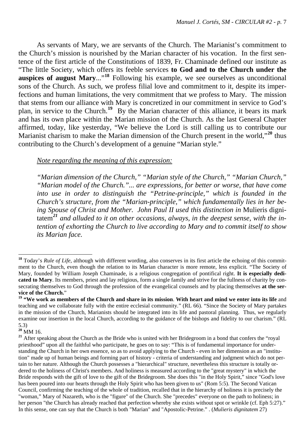As servants of Mary, we are servants of the Church. The Marianist's commitment to the Church's mission is nourished by the Marian character of his vocation. In the first sentence of the first article of the Constitutions of 1839, Fr. Chaminade defined our institute as "The little Society, which offers its feeble services **to God and to the Church under the auspices of august Mary**..."**[18](#page-8-0)** Following his example, we see ourselves as unconditional sons of the Church. As such, we profess filial love and commitment to it, despite its imperfections and human limitations, the very commitment that we profess to Mary. The mission that stems from our alliance with Mary is concretized in our commitment in service to God's plan, in service to the Church.**[19](#page-8-1)** By the Marian character of this alliance, it bears its mark and has its own place within the Marian mission of the Church. As the last General Chapter affirmed, today, like yesterday, "We believe the Lord is still calling us to contribute our Marianist charism to make the Marian dimension of the Church present in the world,"**[20](#page-8-2)** thus contributing to the Church's development of a genuine "Marian style."

*Note regarding the meaning of this expression:*

*"Marian dimension of the Church," "Marian style of the Church," "Marian Church," "Marian model of the Church."... are expressions, for better or worse, that have come into use in order to distinguish the "Petrine-principle," which is founded in the Church's structure, from the "Marian-principle," which fundamentally lies in her being Spouse of Christ and Mother. John Paul II used this distinction in* Mulieris dignitatem*[21](#page-8-3) and alluded to it on other occasions, always, in the deepest sense, with the intention of exhorting the Church to live according to Mary and to commit itself to show its Marian face.* 

<span id="page-8-0"></span><sup>&</sup>lt;sup>18</sup> Today's *Rule of Life*, although with different wording, also conserves in its first article the echoing of this commitment to the Church, even though the relation to its Marian character is more remote, less explicit. "The Society of Mary, founded by William Joseph Chaminade, is a religious congregation of pontifical right. **It is especially dedicated to Mary**. Its members, priest and lay religious, form a single family and strive for the fullness of charity by consecrating themselves to God through the profession of the evangelical counsels and by placing themselves **at the service of the Church.**"

<span id="page-8-1"></span>**<sup>19 &</sup>quot;We work as members of the Church and share in its mission**. **With heart and mind we enter into its life** and teaching and we collaborate fully with the entire ecclesial community*.*" (RL 66). "Since the Society of Mary partakes in the mission of the Church, Marianists should be integrated into its life and pastoral planning. Thus, we regularly examine our insertion in the local Church, according to the guidance of the bishops and fidelity to our charism." (RL 5.3)

<span id="page-8-2"></span>**<sup>20</sup>** MM 16.

<span id="page-8-3"></span><sup>&</sup>lt;sup>21</sup> After speaking about the Church as the Bride who is united with her Bridegroom in a bond that confers the "royal" priesthood" upon all the faithful who participate, he goes on to say: "This is of fundamental importance for understanding the Church in her own essence, so as to avoid applying to the Church - even in her dimension as an "institution" made up of human beings and forming part of history - criteria of understanding and judgment which do not pertain to her nature. Although the Church possesses a "hierarchical" structure, nevertheless this structure is totally ordered to the holiness of Christ's members. And holiness is measured according to the "great mystery" in which the Bride responds with the gift of love to the gift of the Bridegroom. She does this "in the Holy Spirit," since "God's love has been poured into our hearts through the Holy Spirit who has been given to us" (Rom 5:5). The Second Vatican Council, confirming the teaching of the whole of tradition, recalled that in the hierarchy of holiness it is precisely the "woman," Mary of Nazareth, who is the "figure" of the Church. She "precedes" everyone on the path to holiness; in her person "the Church has already reached that perfection whereby she exists without spot or wrinkle (cf. Eph 5:27)." In this sense, one can say that the Church is both "Marian" and "Apostolic-Petrine." . (*Mulieris dignitatem* 27)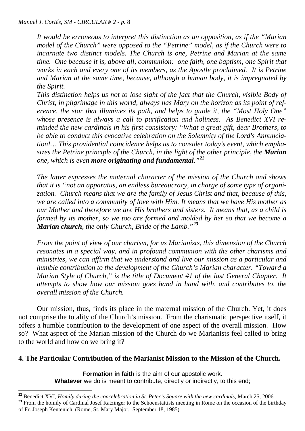*It would be erroneous to interpret this distinction as an opposition, as if the "Marian model of the Church" were opposed to the "Petrine" model, as if the Church were to incarnate two distinct models. The Church is one, Petrine and Marian at the same time. One because it is, above all, communion: one faith, one baptism, one Spirit that works in each and every one of its members, as the Apostle proclaimed. It is Petrine and Marian at the same time, because, although a human body, it is impregnated by the Spirit.* 

*This distinction helps us not to lose sight of the fact that the Church, visible Body of Christ, in pilgrimage in this world, always has Mary on the horizon as its point of reference, the star that illumines its path, and helps to guide it, the "Most Holy One" whose presence is always a call to purification and holiness. As Benedict XVI reminded the new cardinals in his first consistory: "What a great gift, dear Brothers, to be able to conduct this evocative celebration on the Solemnity of the Lord's Annunciation!… This providential coincidence helps us to consider today's event, which emphasizes the Petrine principle of the Church, in the light of the other principle, the Marian one, which is even more originating and fundamental."[22](#page-9-0)* 

*The latter expresses the maternal character of the mission of the Church and shows that it is "not an apparatus, an endless bureaucracy, in charge of some type of organization. Church means that we are the family of Jesus Christ and that, because of this, we are called into a community of love with Him. It means that we have His mother as our Mother and therefore we are His brothers and sisters. It means that, as a child is formed by its mother, so we too are formed and mold[ed](#page-9-1) by her so that we become a Marian church, the only Church, Bride of the Lamb."[23](#page-9-1)*

*From the point of view of our charism, for us Marianists, this dimension of the Church resonates in a special way, and in profound communion with the other charisms and ministries, we can affirm that we understand and live our mission as a particular and humble contribution to the development of the Church's Marian character. "Toward a Marian Style of Church," is the title of Document #1 of the last General Chapter. It attempts to show how our mission goes hand in hand with, and contributes to, the overall mission of the Church.* 

Our mission, thus, finds its place in the maternal mission of the Church. Yet, it does not comprise the totality of the Church's mission. From the charismatic perspective itself, it offers a humble contribution to the development of one aspect of the overall mission. How so? What aspect of the Marian mission of the Church do we Marianists feel called to bring to the world and how do we bring it?

# **4. The Particular Contribution of the Marianist Mission to the Mission of the Church.**

**Formation in faith** is the aim of our apostolic work. **Whatever** we do is meant to contribute, directly or indirectly, to this end;

<span id="page-9-0"></span><sup>1</sup> **<sup>22</sup>** Benedict XVI, *Homily during the concelebration in St. Peter's Square with the new cardinals,* March 25, 2006.

<span id="page-9-1"></span><sup>&</sup>lt;sup>23</sup> From the homily of Cardinal Josef Ratzinger to the Schoenstattists meeting in Rome on the occasion of the birthday of Fr. Joseph Kentenich. (Rome, St. Mary Major, September 18, 1985)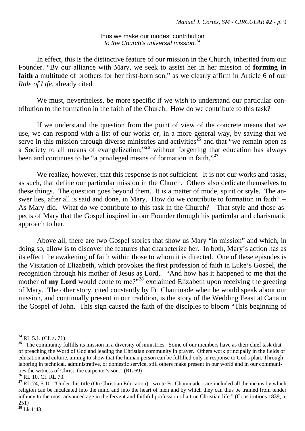thus we make our modest contribution *to the Church's universal mission*. **[24](#page-10-0)**

In effect, this is the distinctive feature of our mission in the Church, inherited from our Founder. "By our alliance with Mary, we seek to assist her in her mission of **forming in faith** a multitude of brothers for her first-born son," as we clearly affirm in Article 6 of our *Rule of Life*, already cited.

We must, nevertheless, be more specific if we wish to understand our particular contribution to the formation in the faith of the Church. How do we contribute to this task?

If we understand the question from the point of view of the concrete means that we use, we can respond with a list of our works or, in a more general way, by saying that we serve in this mission through diverse ministries and activities<sup>[25](#page-10-1)</sup> and that "we remain open as a Society to all means of evangelization,"**[26](#page-10-2)** without forgetting that education has always been and continues to be "a privileged means of formation in faith."**[27](#page-10-3)**

We realize, however, that this response is not sufficient. It is not our works and tasks, as such, that define our particular mission in the Church. Others also dedicate themselves to these things. The question goes beyond them. It is a matter of mode, spirit or style. The answer lies, after all is said and done, in Mary. How do we contribute to formation in faith? -- As Mary did. What do we contribute to this task in the Church? --That style and those aspects of Mary that the Gospel inspired in our Founder through his particular and charismatic approach to her.

Above all, there are two Gospel stories that show us Mary "in mission" and which, in doing so, allow is to discover the features that characterize her. In both, Mary's action has as its effect the awakening of faith within those to whom it is directed. One of these episodes is the Visitation of Elizabeth, which provokes the first profession of faith in Luke's Gospel, the recognition through his mother of Jesus as Lord,. "And how has it happened to me that the mother of **my Lord** would come to me?"<sup>[28](#page-10-4)</sup> exclaimed Elizabeth upon receiving the greeting of Mary. The other story, cited constantly by Fr. Chaminade when he would speak about our mission, and continually present in our tradition, is the story of the Wedding Feast at Cana in the Gospel of John. This sign caused the faith of the disciples to bloom "This beginning of

<span id="page-10-0"></span>**<sup>24</sup>** RL 5.1. (Cf. a. 71)

<span id="page-10-1"></span><sup>&</sup>lt;sup>25</sup> "The community fulfills its mission in a diversity of ministries. Some of our members have as their chief task that of preaching the Word of God and leading the Christian community in prayer. Others work principally in the fields of education and culture, aiming to show that the human person can be fulfilled only in response to God's plan. Through laboring in technical, administrative, or domestic service, still others make present in our world and in our communities the witness of Christ, the carpenter's son." (RL 69)

<span id="page-10-2"></span>**<sup>26</sup>** RL 10. Cf. RL 73.

<span id="page-10-3"></span><sup>&</sup>lt;sup>27</sup> RL 74: 5.10. "Under this title (On Christian Education) - wrote Fr. Chaminade - are included all the means by which religion can be inculcated into the mind and into the heart of men and by which they can thus be trained from tender infancy to the most advanced age in the fervent and faithful profession of a true Christian life." (Constitutions 1839, a. 251)

<span id="page-10-4"></span>**<sup>28</sup>** Lk 1:43.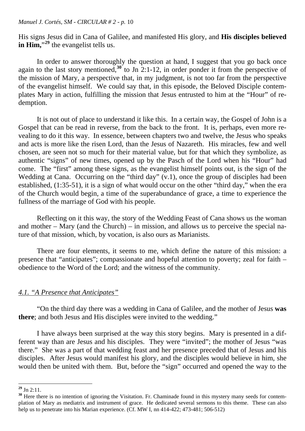His signs Jesus did in Cana of Galilee, and manifested His glory, and **His disciples believed**  in Him."<sup>[29](#page-11-0)</sup> the evangelist tells us.

In order to answer thoroughly the question at hand, I suggest that you go back once again to the last story mentioned,<sup>[30](#page-11-1)</sup> to Jn 2:1-12, in order ponder it from the perspective of the mission of Mary, a perspective that, in my judgment, is not too far from the perspective of the evangelist himself. We could say that, in this episode, the Beloved Disciple contemplates Mary in action, fulfilling the mission that Jesus entrusted to him at the "Hour" of redemption.

It is not out of place to understand it like this. In a certain way, the Gospel of John is a Gospel that can be read in reverse, from the back to the front. It is, perhaps, even more revealing to do it this way. In essence, between chapters two and twelve, the Jesus who speaks and acts is more like the risen Lord, than the Jesus of Nazareth. His miracles, few and well chosen, are seen not so much for their material value, but for that which they symbolize, as authentic "signs" of new times, opened up by the Pasch of the Lord when his "Hour" had come. The "first" among these signs, as the evangelist himself points out, is the sign of the Wedding at Cana. Occurring on the "third day" (v.1), once the group of disciples had been established, (1:35-51), it is a sign of what would occur on the other "third day," when the era of the Church would begin, a time of the superabundance of grace, a time to experience the fullness of the marriage of God with his people.

Reflecting on it this way, the story of the Wedding Feast of Cana shows us the woman and mother – Mary (and the Church) – in mission, and allows us to perceive the special nature of that mission, which, by vocation, is also ours as Marianists.

There are four elements, it seems to me, which define the nature of this mission: a presence that "anticipates"; compassionate and hopeful attention to poverty; zeal for faith – obedience to the Word of the Lord; and the witness of the community.

# *4.1. "A Presence that Anticipates"*

 "On the third day there was a wedding in Cana of Galilee, and the mother of Jesus **was there**; and both Jesus and His disciples were invited to the wedding."

I have always been surprised at the way this story begins. Mary is presented in a different way than are Jesus and his disciples. They were "invited"; the mother of Jesus "was there." She was a part of that wedding feast and her presence preceded that of Jesus and his disciples. After Jesus would manifest his glory, and the disciples would believe in him, she would then be united with them. But, before the "sign" occurred and opened the way to the

<span id="page-11-0"></span>**<sup>29</sup>** Jn 2:11.

<span id="page-11-1"></span><sup>&</sup>lt;sup>30</sup> Here there is no intention of ignoring the Visitation. Fr. Chaminade found in this mystery many seeds for contemplation of Mary as mediatrix and instrument of grace. He dedicated several sermons to this theme. These can also help us to penetrate into his Marian experience. (Cf. MW I, nn 414-422; 473-481; 506-512)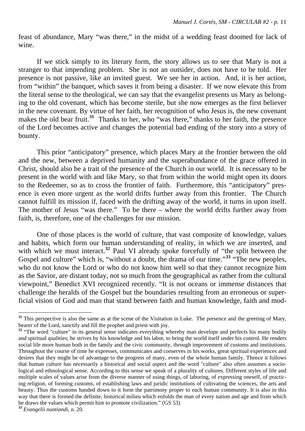feast of abundance, Mary "was there," in the midst of a wedding feast doomed for lack of wine.

If we stick simply to its literary form, the story allows us to see that Mary is not a stranger to that impending problem. She is not an outsider, does not have to be told. Her presence is not passive, like an invited guest. We see her in action. And, it is her action, from "within" the banquet, which saves it from being a disaster. If we now elevate this from the literal sense to the theological, we can say that the evangelist presents us Mary as belonging to the old covenant, which has become sterile, but she now emerges as the first believer in the new covenant. By virtue of her faith, her recognition of who Jesus is, the new covenant makes the old bear fruit.<sup>[31](#page-12-0)</sup> Thanks to her, who "was there," thanks to her faith, the presence of the Lord becomes active and changes the potential bad ending of the story into a story of bounty.

This prior "anticipatory" presence, which places Mary at the frontier between the old and the new, between a deprived humanity and the superabundance of the grace offered in Christ, should also be a trait of the presence of the Church in our world. It is necessary to be present in the world with and like Mary, so that from within the world might open its doors to the Redeemer, so as to cross the frontier of faith. Furthermore, this "anticipatory" presence is even more urgent as the world drifts further away from this frontier. The Church cannot fulfill its mission if, faced with the drifting away of the world, it turns in upon itself. The mother of Jesus "was there." To be there – where the world drifts further away from faith, is, therefore, one of the challenges for our mission.

One of those places is the world of culture, that vast composite of knowledge, values and habits, which form our human understanding of reality, in which we are inserted, and with which we must interact.<sup>[32](#page-12-1)</sup> Paul VI already spoke forcefully of "the split between the Gospel and culture" which is, "without a doubt, the drama of our time."<sup>[33](#page-12-2)</sup> "The new peoples, who do not know the Lord or who do not know him well so that they cannot recognize him as the Savior, are distant today, not so much from the geographical as rather from the cultural viewpoint," Benedict XVI recognized recently. "It is not oceans or immense distances that challenge the heralds of the Gospel but the boundaries resulting from an erroneous or superficial vision of God and man that stand between faith and human knowledge, faith and mod-

<span id="page-12-0"></span><sup>&</sup>lt;sup>31</sup> This perspective is also the same as at the scene of the Visitation in Luke. The presence and the greeting of Mary, bearer of the Lord, sanctify and fill the prophet and priest with joy.

<span id="page-12-1"></span><sup>&</sup>lt;sup>32</sup> "The word "culture" in its general sense indicates everything whereby man develops and perfects his many bodily and spiritual qualities; he strives by his knowledge and his labor, to bring the world itself under his control. He renders social life more human both in the family and the civic community, through improvement of customs and institutions. Throughout the course of time he expresses, communicates and conserves in his works, great spiritual experiences and desires that they might be of advantage to the progress of many, even of the whole human family. Thence it follows that human culture has necessarily a historical and social aspect and the word "culture" also often assumes a sociological and ethnological sense. According to this sense we speak of a plurality of cultures. Different styles of life and multiple scales of values arise from the diverse manner of using things, of laboring, of expressing oneself, of practicing religion, of forming customs, of establishing laws and juridic institutions of cultivating the sciences, the arts and beauty. Thus the customs handed down to it form the patrimony proper to each human community. It is also in this way that there is formed the definite, historical milieu which enfolds the man of every nation and age and from which he draws the values which permit him to promote civilization." (GS 53)

<span id="page-12-2"></span>**<sup>33</sup>** *Evangelii nuntiandi,* n. 20.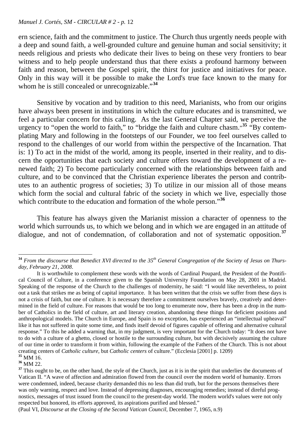ern science, faith and the commitment to justice. The Church thus urgently needs people with a deep and sound faith, a well-grounded culture and genuine human and social sensitivity; it needs religious and priests who dedicate their lives to being on these very frontiers to bear witness and to help people understand thus that there exists a profound harmony between faith and reason, between the Gospel spirit, the thirst for justice and initiatives for peace. Only in this way will it be possible to make the Lord's true face known to the many for whom he is still concealed or unrecognizable."<sup>[34](#page-13-0)</sup>

Sensitive by vocation and by tradition to this need, Marianists, who from our origins have always been present in institutions in which the culture educates and is transmitted, we feel a particular concern for this calling. As the last General Chapter said, we perceive the urgency to "open the world to faith," to "bridge the faith and culture chasm."<sup>[35](#page-13-1)</sup> "By contemplating Mary and following in the footsteps of our Founder, we too feel ourselves called to respond to the challenges of our world from within the perspective of the Incarnation. That is: 1) To act in the midst of the world, among its people, inserted in their reality, and to discern the opportunities that each society and culture offers toward the development of a renewed faith; 2) To become particularly concerned with the relationships between faith and culture, and to be convinced that the Christian experience liberates the person and contributes to an authentic progress of societies; 3) To utilize in our mission all of those means which form the social and cultural fabric of the society in which we live, especially those which contribute to the education and formation of the whole person."<sup>[36](#page-13-2)</sup>

 This feature has always given the Marianist mission a character of openness to the world which surrounds us, to which we belong and in which we are engaged in an attitude of dialogue, and not of condemnation, of collaboration and not of systematic opposition.**[37](#page-13-3)**

<span id="page-13-2"></span><span id="page-13-1"></span>**<sup>36</sup>** MM 22.

<span id="page-13-0"></span>**<sup>34</sup>** *From the discourse that Benedict XVI directed to the 35th General Congregation of the Society of Jesus on Thursday, February 21, 2008*.

It is worthwhile to complement these words with the words of Cardinal Poupard, the President of the Pontifical Council of Culture, in a conference given to the Spanish University Foundation on May 28, 2001 in Madrid. Speaking of the response of the Church to the challenges of modernity, he said: "I would like nevertheless, to point out a task that strikes me as being of capital importance. It has been written that the crisis we suffer from these days is not a crisis of faith, but one of culture. It is necessary therefore a commitment ourselves bravely, creatively and determined in the field of culture. For reasons that would be too long to enumerate now, there has been a drop in the number of Catholics in the field of culture, art and literary creation, abandoning these things for deficient positions and anthropological models. The Church in Europe, and Spain is no exception, has experienced an "intellectual upheaval" like it has not suffered in quite some time, and finds itself devoid of figures capable of offering and alternative cultural response." To this he added a warning that, in my judgment, is very important for the Church today: "It does not have to do with a culture of a ghetto, closed or hostile to the surrounding culture, but with decisively assuming the culture of our time in order to transform it from within, following the example of the Fathers of the Church. This is not about creating centers of *Catholic culture*, but *Catholic centers* of culture." (Ecclesia [2001] p. 1209) **<sup>35</sup>** MM 16.

<span id="page-13-3"></span><sup>&</sup>lt;sup>37</sup> This ought to be, on the other hand, the style of the Church, just as it is in the spirit that underlies the documents of Vatican II. "A wave of affection and admiration flowed from the council over the modern world of humanity. Errors were condemned, indeed, because charity demanded this no less than did truth, but for the persons themselves there was only warning, respect and love. Instead of depressing diagnoses, encouraging remedies; instead of direful prognostics, messages of trust issued from the council to the present-day world. The modern world's values were not only respected but honored, its efforts approved, its aspirations purified and blessed."

<sup>(</sup>Paul VI, *Discourse at the Closing of the Second Vatican Council,* December 7, 1965, n.9)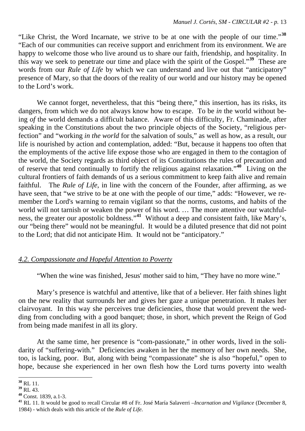"Like Christ, the Word Incarnate, we strive to be at one with the people of our time."**[38](#page-14-0)** "Each of our communities can receive support and enrichment from its environment. We are happy to welcome those who live around us to share our faith, friendship, and hospitality. In this way we seek to penetrate our time and place with the spirit of the Gospel."**[39](#page-14-1)** These are words from our *Rule of Life* by which we can understand and live out that "anticipatory" presence of Mary, so that the doors of the reality of our world and our history may be opened to the Lord's work.

 We cannot forget, nevertheless, that this "being there," this insertion, has its risks, its dangers, from which we do not always know how to escape. To be *in* the world without being *of* the world demands a difficult balance. Aware of this difficulty, Fr. Chaminade, after speaking in the Constitutions about the two principle objects of the Society, "religious perfection" and "working *in the world* for the salvation of souls," as well as how, as a result, our life is nourished by action and contemplation, added: "But, because it happens too often that the employments of the active life expose those who are engaged in them to the contagion of the world, the Society regards as third object of its Constitutions the rules of precaution and of reserve that tend continually to fortify the religious against relaxation."**[40](#page-14-2)** Living on the cultural frontiers of faith demands of us a serious commitment to keep faith alive and remain faithful. The *Rule of Life*, in line with the concern of the Founder, after affirming, as we have seen, that "we strive to be at one with the people of our time," adds: "However, we remember the Lord's warning to remain vigilant so that the norms, customs, and habits of the world will not tarnish or weaken the power of his word. … The more attentive our watchfulness, the greater our apostolic boldness."**[41](#page-14-3)** Without a deep and consistent faith, like Mary's, our "being there" would not be meaningful. It would be a diluted presence that did not point to the Lord; that did not anticipate Him. It would not be "anticipatory."

# *4.2. Compassionate and Hopeful Attention to Poverty*

"When the wine was finished, Jesus' mother said to him, "They have no more wine."

 Mary's presence is watchful and attentive, like that of a believer. Her faith shines light on the new reality that surrounds her and gives her gaze a unique penetration. It makes her clairvoyant. In this way she perceives true deficiencies, those that would prevent the wedding from concluding with a good banquet; those, in short, which prevent the Reign of God from being made manifest in all its glory.

At the same time, her presence is "com-passionate," in other words, lived in the solidarity of "suffering-with." Deficiencies awaken in her the memory of her own needs. She, too, is lacking, poor. But, along with being "compassionate" she is also "hopeful," open to hope, because she experienced in her own flesh how the Lord turns poverty into wealth

<sup>&</sup>lt;u>.</u> **<sup>38</sup>** RL 11.

<span id="page-14-1"></span><span id="page-14-0"></span>**<sup>39</sup>** RL 43.

<span id="page-14-2"></span>**<sup>40</sup>** Const. 1839, a.1-3.

<span id="page-14-3"></span>**<sup>41</sup>** RL 11. It would be good to recall Circular #8 of Fr. José María Salaverri –*Incarnation and Vigilance* (December 8, 1984) - which deals with this article of the *Rule of Life*.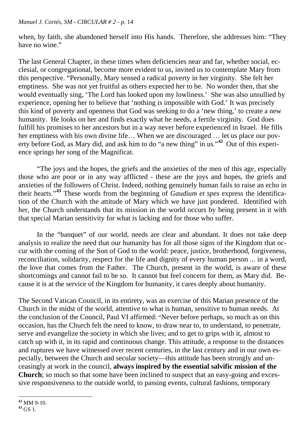when, by faith, she abandoned herself into His hands. Therefore, she addresses him: "They have no wine."

The last General Chapter, in these times when deficiencies near and far, whether social, ecclesial, or congregational, become more evident to us, invited us to contemplate Mary from this perspective. "Personally, Mary sensed a radical poverty in her virginity. She felt her emptiness. She was not yet fruitful as others expected her to be. No wonder then, that she would eventually sing, 'The Lord has looked upon my lowliness.' She was also unsullied by experience, opening her to believe that 'nothing is impossible with God.' It was precisely this kind of poverty and openness that God was seeking to do a 'new thing,' to create a new humanity. He looks on her and finds exactly what he needs, a fertile virginity. God does fulfill his promises to her ancestors but in a way never before experienced in Israel. He fills her emptiness with his own divine life… When we are discouraged … let us place our poverty before God, as Mary did, and ask him to do "a new thing" in us."**[42](#page-15-0)**Out of this experience springs her song of the Magnificat.

that special Marian sensitivity for what is lacking and for those who suffer. "The joys and the hopes, the griefs and the anxieties of the men of this age, especially those who are poor or in any way afflicted - these are the joys and hopes, the griefs and anxieties of the followers of Christ. Indeed, nothing genuinely human fails to raise an echo in their hearts."**[43](#page-15-1)** These words from the beginning of *Gaudium et spes* express the identification of the Church with the attitude of Mary which we have just pondered. Identified with her, the Church understands that its mission in the world occurs by being present in it with

In the "banquet" of our world, needs are clear and abundant. It does not take deep analysis to realize the need that our humanity has for all those signs of the Kingdom that occur with the coming of the Son of God to the world: peace, justice, brotherhood, forgiveness, reconciliation, solidarity, respect for the life and dignity of every human person ... in a word, the love that comes from the Father. The Church, present in the world, is aware of these shortcomings and cannot fail to be so. It cannot but feel concern for them, as Mary did. Because it is at the service of the Kingdom for humanity, it cares deeply about humanity.

The Second Vatican Council, in its entirety, was an exercise of this Marian presence of the Church in the midst of the world, attentive to what is human, sensitive to human needs. At the conclusion of the Council, Paul VI affirmed: "Never before perhaps, so much as on this occasion, has the Church felt the need to know, to draw near to, to understand, to penetrate, serve and evangelize the society in which she lives; and to get to grips with it, almost to catch up with it, in its rapid and continuous change. This attitude, a response to the distances and ruptures we have witnessed over recent centuries, in the last century and in our own especially, between the Church and secular society—this attitude has been strongly and unceasingly at work in the council, **always inspired by the essential salvific mission of the Church**; so much so that some have been inclined to suspect that an easy-going and excessive responsiveness to the outside world, to passing events, cultural fashions, temporary

<sup>1</sup> **<sup>42</sup>** MM 9-10.

<span id="page-15-1"></span><span id="page-15-0"></span>**<sup>43</sup>** GS 1.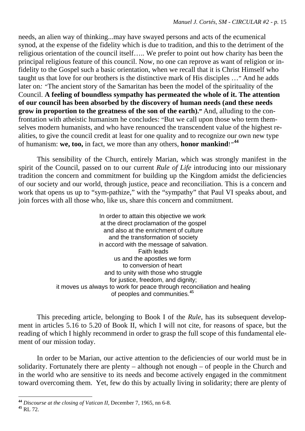needs, an alien way of thinking...may have swayed persons and acts of the ecumenical synod, at the expense of the fidelity which is due to tradition, and this to the detriment of the religious orientation of the council itself….. We prefer to point out how charity has been the principal religious feature of this council. Now, no one can reprove as want of religion or infidelity to the Gospel such a basic orientation, when we recall that it is Christ Himself who taught us that love for our brothers is the distinctive mark of His disciples …" And he adds later on*: "*The ancient story of the Samaritan has been the model of the spirituality of the Council. **A feeling of boundless sympathy has permeated the whole of it. The attention of our council has been absorbed by the discovery of human needs (and these needs grow in proportion to the greatness of the son of the earth)."** And, alluding to the confrontation with atheistic humanism he concludes: "But we call upon those who term themselves modern humanists, and who have renounced the transcendent value of the highest realities, to give the council credit at least for one quality and to recognize our own new type of humanism: **we, too,** in fact, we more than any others, **honor mankind**!*"***[44](#page-16-0)**

This sensibility of the Church, entirely Marian, which was strongly manifest in the spirit of the Council, passed on to our current *Rule of Life* introducing into our missionary tradition the concern and commitment for building up the Kingdom amidst the deficiencies of our society and our world, through justice, peace and reconciliation. This is a concern and work that opens us up to "sym-pathize," with the "sympathy" that Paul VI speaks about, and join forces with all those who, like us, share this concern and commitment.

> In order to attain this objective we work at the direct proclamation of the gospel and also at the enrichment of culture and the transformation of society in accord with the message of salvation. Faith leads us and the apostles we form to conversion of heart and to unity with those who struggle for justice, freedom, and dignity; it moves us always to work for peace through reconciliation and healing of peoples and communities.**[45](#page-16-1)**

 This preceding article, belonging to Book I of the *Rule*, has its subsequent development in articles 5.16 to 5.20 of Book II, which I will not cite, for reasons of space, but the reading of which I highly recommend in order to grasp the full scope of this fundamental element of our mission today.

 In order to be Marian, our active attention to the deficiencies of our world must be in solidarity. Fortunately there are plenty – although not enough – of people in the Church and in the world who are sensitive to its needs and become actively engaged in the commitment toward overcoming them. Yet, few do this by actually living in solidarity; there are plenty of

<span id="page-16-0"></span>**<sup>44</sup>** *Discourse at the closing of Vatican II,* December 7, 1965, nn 6-8.

<span id="page-16-1"></span>**<sup>45</sup>** RL 72.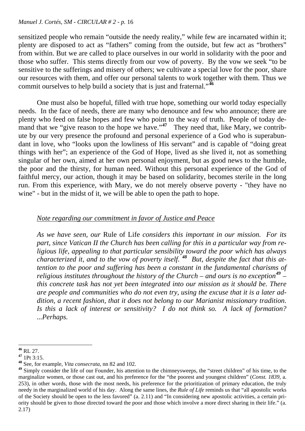sensitized people who remain "outside the needy reality," while few are incarnated within it; plenty are disposed to act as "fathers" coming from the outside, but few act as "brothers" from within. But we are called to place ourselves in our world in solidarity with the poor and those who suffer. This stems directly from our vow of poverty. By the vow we seek "to be sensitive to the sufferings and misery of others; we cultivate a special love for the poor, share our resources with them, and offer our personal talents to work tog[e](#page-17-0)ther with them. Thus we commit ourselves to help build a society that is just and fraternal."**[46](#page-17-0)**

wine" - but in the midst of it, we will be able to open the path to hope. One must also be hopeful, filled with true hope, something our world today especially needs. In the face of needs, there are many who denounce and few who announce; there are plenty who feed on false hopes and few who point to the way of truth. People of today de-mand that we "give reason to the hope we have."<sup>[47](#page-17-1)</sup> They need that, like Mary, we contribute by our very presence the profound and personal experience of a God who is superabundant in love, who "looks upon the lowliness of His servant" and is capable of "doing great things with her"; an experience of the God of Hope, lived as she lived it, not as something singular of her own, aimed at her own personal enjoyment, but as good news to the humble, the poor and the thirsty, for human need. Without this personal experience of the God of faithful mercy, our action, though it may be based on solidarity, becomes sterile in the long run. From this experience, with Mary, we do not merely observe poverty - "they have no

# *Note regarding our commitment in favor of Justice and Peace*

*As we have seen, our* Rule of Life *considers this important in our mission. For its part, since Vatican II the Church has been calling for this in a particular way from religious life, appealing to that particular sensibility toward the poor which has always characterized it, and to the vow of poverty itself. [48](#page-17-2) But, despite the fact that this attention to the poor and suffering has been a constant in the fundamental charisms of religious institutes throughout the history of the Church – and ours is no exception[49](#page-17-3) – this concrete task has not yet been integrated into our mission as it should be. There are people and communities who do not even try, using the excuse that it is a later addition, a recent fashion, that it does not belong to our Marianist missionary tradition. Is this a lack of interest or sensitivity? I do not think so. A lack of formation? ...Perhaps.* 

<sup>1</sup> **<sup>46</sup>** RL 27.

<span id="page-17-1"></span><span id="page-17-0"></span>**<sup>47</sup>** 1Pt 3:15.

<span id="page-17-2"></span>**<sup>48</sup>** See, for example, *Vita consecrata*, nn 82 and 102.

<span id="page-17-3"></span><sup>&</sup>lt;sup>49</sup> Simply consider the life of our Founder, his attention to the chimneysweeps, the "street children" of his time, to the marginalize women, or those cast out, and his preference for the "the poorest and youngest children" (*Const. 1839,* a. 253), in other words, those with the most needs, his preference for the prioritization of primary education, the truly needy in the marginalized world of his day. Along the same lines, the *Rule of Life* reminds us that "all apostolic works of the Society should be open to the less favored" (a. 2.11) and "In considering new apostolic activities, a certain priority should be given to those directed toward the poor and those which involve a more direct sharing in their life." (a. 2.17)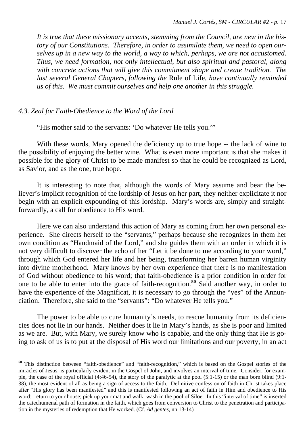*It is true that these missionary accents, stemming from the Council, are new in the history of our Constitutions. Therefore, in order to assimilate them, we need to open ourselves up in a new way to the world, a way to which, perhaps, we are not accustomed. Thus, we need formation, not only intellectual, but also spiritual and pastoral, along with concrete actions that will give this commitment shape and create tradition. The last several General Chapters, following the* Rule of Life, *have continually reminded us of this. We must commit ourselves and help one another in this struggle.* 

# *4.3. Zeal for Faith-Obedience to the Word of the Lord*

1

"His mother said to the servants: 'Do whatever He tells you.'"

 With these words, Mary opened the deficiency up to true hope -- the lack of wine to the possibility of enjoying the better wine. What is even more important is that she makes it possible for the glory of Christ to be made manifest so that he could be recognized as Lord, as Savior, and as the one, true hope.

It is interesting to note that, although the words of Mary assume and bear the believer's implicit recognition of the lordship of Jesus on her part, they neither explicitate it nor begin with an explicit expounding of this lordship. Mary's words are, simply and straightforwardly, a call for obedience to His word.

Here we can also understand this action of Mary as coming from her own personal experience. She directs herself to the "servants," perhaps because she recognizes in them her own condition as "Handmaid of the Lord," and she guides them with an order in which it is not very difficult to discover the echo of her "Let it be done to me according to your word," through which God entered her life and her being, transforming her barren human virginity into divine motherhood. Mary knows by her own experience that there is no manifestation of God without obedience to his word; that faith-obedience is a prior condition in order for one to be able to enter into the grace of faith-recognition.<sup>[50](#page-18-0)</sup> Said another way, in order to have the experience of the Magnificat, it is necessary to go through the "yes" of the Annunciation. Therefore, she said to the "servants": "Do whatever He tells you."

The power to be able to cure humanity's needs, to rescue humanity from its deficiencies does not lie in our hands. Neither does it lie in Mary's hands, as she is poor and limited as we are. But, with Mary, we surely know who is capable, and the only thing that He is going to ask of us is to put at the disposal of His word our limitations and our poverty, in an act

<span id="page-18-0"></span>**<sup>50</sup>** This distinction between "faith-obedience" and "faith-recognition," which is based on the Gospel stories of the miracles of Jesus, is particularly evident in the Gospel of John, and involves an interval of time. Consider, for example, the case of the royal official (4:46-54), the story of the paralytic at the pool (5:1-15) or the man born blind (9:1- 38), the most evident of all as being a sign of access to the faith. Definitive confession of faith in Christ takes place after "His glory has been manifested" and this is manifested following an act of faith in Him and obedience to His word: return to your house; pick up your mat and walk; wash in the pool of Siloe. In this "interval of time" is inserted the catechumenal path of formation in the faith, which goes from conversion to Christ to the penetration and participation in the mysteries of redemption that He worked. (Cf. *Ad gentes,* nn 13-14)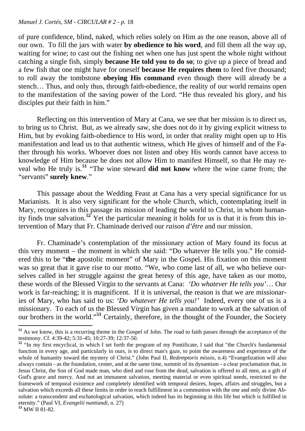of pure confidence, blind, naked, which relies solely on Him as the one reason, above all of our own. To fill the jars with water **by obedience to his word**, and fill them all the way up, waiting for wine; to cast out the fishing net when one has just spent the whole night without catching a single fish, simply **because He told you to do so**; to give up a piece of bread and a few fish that one might have for oneself **because He requires them** to feed five thousand; to roll away the tombstone **obeying His command** even though there will already be a stench… Thus, and only thus, through faith-obedience, the reality of our world remains open to the manifestation of the saving power of the Lord. "He thus revealed his glory, and his disciples put their faith in him."

Reflecting on this intervention of Mary at Cana, we see that her mission is to direct us, to bring us to Christ. But, as we already saw, she does not do it by giving explicit witness to Him, but by evoking faith-obedience to His word, in order that reality might open up to His manifestation and lead us to that authentic witness, which He gives of himself and of the Father through his works. Whoever does not listen and obey His words cannot have access to knowledge of Him because he does not allow Him to manifest Himself, so that He may reveal who He truly is.**[51](#page-19-0)** "The wine steward **did not know** where the wine came from; the "servants" **surely knew**."

 This passage about the Wedding Feast at Cana has a very special significance for us Marianists. It is also very significant for the whole Church, which, contemplating itself in Mary, recognizes in this passage its mission of leading the world to Christ, in whom humanity finds true salvation.**[52](#page-19-1)** Yet the particular meaning it holds for us is that it is from this intervention of Mary that Fr. Chaminade derived our *raison d'être* and our mission.

Fr. Chaminade's contemplation of the missionary action of Mary found its focus at this very moment – the moment in which she said: "Do whatever He tells you." He considered this to be "**the** apostolic moment" of Mary in the Gospel. His fixation on this moment was so great that it gave rise to our motto. "We, who come last of all, we who believe ourselves called in her struggle against the great heresy of this age, have taken as our motto, these words of the Blessed Virgin to the servants at Cana: *'Do whatever He tells you'*… Our work is far-reaching; it is magnificent. If it is universal, the reason is that we are missionaries of Mary, who has said to us: *'Do whatever He tells you!'* Indeed, every one of us is a missionary. To each of us the Blessed Virgin has given a mandate to work at the salvation of our brothers in the world."**[53](#page-19-2)** Certainly, therefore, in the thought of the Founder, the Society

<span id="page-19-0"></span>**<sup>51</sup>** As we know, this is a recurring theme in the Gospel of John. The road to faith passes through the acceptance of the testimony. Cf. 4:39-42; 5:31-45; 10:27-39; 12:37-50.

<span id="page-19-1"></span><sup>&</sup>lt;sup>52</sup> "In my first encyclical, in which I set forth the program of my Pontificate, I said that "the Church's fundamental function in every age, and particularly in ours, is to direct man's gaze, to point the awareness and experience of the whole of humanity toward the mystery of Christ." (John Paul II, *Redemptoris missio*, n.4) "Evangelization will also always contain - as the foundation, center, and at the same time, summit of its dynamism - a clear proclamation that, in Jesus Christ, the Son of God made man, who died and rose from the dead, salvation is offered to all men, as a gift of God's grace and mercy. And not an immanent salvation, meeting material or even spiritual needs, restricted to the framework of temporal existence and completely identified with temporal desires, hopes, affairs and struggles, but a salvation which exceeds all these limits in order to reach fulfillment in a communion with the one and only divine Absolute: a transcendent and eschatological salvation, which indeed has its beginning in this life but which is fulfilled in eternity." (Paul VI, *Evangelii nuntiandi*, n. 27)

<span id="page-19-2"></span>**<sup>53</sup>** MW II 81-82.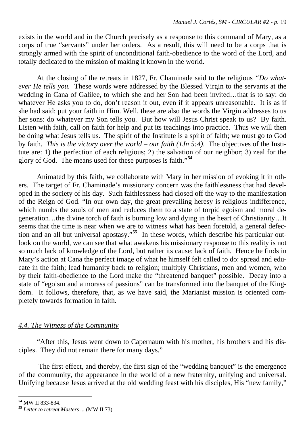exists in the world and in the Church precisely as a response to this command of Mary, as a corps of true "servants" under her orders. As a result, this will need to be a corps that is strongly armed with the spirit of unconditional faith-obedience to the word of the Lord, and totally dedicated to the mission of making it known in the world.

At the closing of the retreats in 1827, Fr. Chaminade said to the religious *"Do whatever He tells you.* These words were addressed by the Blessed Virgin to the servants at the wedding in Cana of Galilee, to which she and her Son had been invited…that is to say: do whatever He asks you to do, don't reason it out, even if it appears unreasonable. It is as if she had said: put your faith in Him. Well, these are also the words the Virgin addresses to us her sons: do whatever my Son tells you. But how will Jesus Christ speak to us? By faith. Listen with faith, call on faith for help and put its teachings into practice. Thus we will then be doing what Jesus tells us. The spirit of the Institute is a spirit of faith; we must go to God by faith. *This is the victory over the world – our faith (1Jn 5:4)*. The objectives of the Institute are: 1) the perfection of each religious; 2) the salvatio[n](#page-20-0) of our neighbor; 3) zeal for the glory of God. The means used for these purposes is faith."**[54](#page-20-0)**

Animated by this faith, we collaborate with Mary in her mission of evoking it in others. The target of Fr. Chaminade's missionary concern was the faithlessness that had developed in the society of his day. Such faithlessness had closed off the way to the manifestation of the Reign of God. "In our own day, the great prevailing heresy is religious indifference, which numbs the souls of men and reduces them to a state of torpid egoism and moral degeneration…the divine torch of faith is burning low and dying in the heart of Christianity…It seems that the time is near when we are to witness what has been foretold, a general defection and an all but universal apostasy."**[55](#page-20-1)** In these words, which describe his particular outlook on the world, we can see that what awakens his missionary response to this reality is not so much lack of knowledge of the Lord, but rather its cause: lack of faith. Hence he finds in Mary's action at Cana the perfect image of what he himself felt called to do: spread and educate in the faith; lead humanity back to religion; multiply Christians, men and women, who by their faith-obedience to the Lord make the "threatened banquet" possible. Decay into a state of "egoism and a morass of passions" can be transformed into the banquet of the Kingdom. It follows, therefore, that, as we have said, the Marianist mission is oriented completely towards formation in faith.

# *4.4. The Witness of the Community*

 "After this, Jesus went down to Capernaum with his mother, his brothers and his disciples. They did not remain there for many days."

 The first effect, and thereby, the first sign of the "wedding banquet" is the emergence of the community, the appearance in the world of a new fraternity, unifying and universal. Unifying because Jesus arrived at the old wedding feast with his disciples, His "new family,"

<span id="page-20-0"></span>**<sup>54</sup>** MW II 833-834.

<span id="page-20-1"></span>**<sup>55</sup>** *Letter to retreat Masters ...* (MW II 73)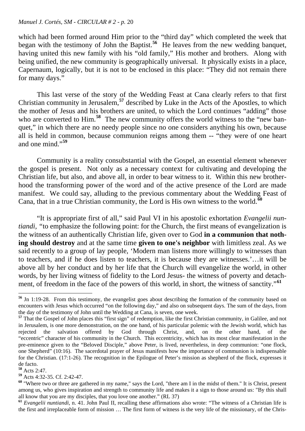which had been formed around Him prior to the "third day" which completed the week that began with the testimony of John the Baptist.**[56](#page-21-0)** He leaves from the new wedding banquet, having united this new family with his "old family," His mother and brothers. Along with being unified, the new community is geographically universal. It physically exists in a place, Capernaum*,* logically, but it is not to be enclosed in this place: "They did not remain there for many days."

 This last verse of the story of the Wedding Feast at Cana clearly refers to that first Christian community in Jerusalem,**[57](#page-21-1)** described by Luke in the Acts of the Apostles, to which the mother of Jesus and his brothers are united, to which the Lord continues "adding" those who are converted to Him.<sup>[58](#page-21-2)</sup> The new community offers the world witness to the "new banquet," in which there are no needy people since no one considers anything his own, because all is held in common, because communion reigns among them -- "they were of one heart and one mind."**[59](#page-21-3)**

Community is a reality consubstantial with the Gospel, an essential element whenever the gospel is present. Not only as a necessary context for cultivating and developing the Christian life, but also, and above all, in order to bear witness to it. Within this new brotherhood the transforming power of the word and of the active presence of the Lord are made manifest. We could say, alluding to the previous commentary about the Wedding [F](#page-21-4)east of Cana, that in a true Christian community, the Lord is His own witness to the world.**[60](#page-21-4)**

 "It is appropriate first of all," said Paul VI in his apostolic exhortation *Evangelii nuntiandi, "*to emphasize the following point: for the Church, the first means of evangelization is the witness of an authentically Christian life, given over to God **in a communion that nothing should destroy** and at the same time **given to one's neighbor** with limitless zeal. As we said recently to a group of lay people, 'Modern man listens more willingly to witnesses than to teachers, and if he does listen to teachers, it is because they are witnesses.'…it will be above all by her conduct and by her life that the Church will evangelize the world, in other words, by her living witness of fidelity to the Lord Jesus- the witness of poverty and detac[h](#page-21-5)-ment, of freedom in the face of the powers of this world, in short, the witness of sanctity."<sup>[61](#page-21-5)</sup>

1

<span id="page-21-3"></span>**<sup>59</sup>** Acts 4:32-35. Cf. 2:42-47.

<span id="page-21-0"></span>**<sup>56</sup>** Jn 1:19-28. From this testimony, the evangelist goes about describing the formation of the community based on encounters with Jesus which occurred "on the following day," and also on subsequent days. The sum of the days, from the day of the testimony of John until the Wedding at Cana, is seven, one week.

<span id="page-21-1"></span><sup>&</sup>lt;sup>57</sup> That the Gospel of John places this "first sign" of redemption, like the first Christian community, in Galilee, and not in Jerusalem, is one more demonstration, on the one hand, of his particular polemic with the Jewish world, which has rejected the salvation offered by God through Christ, and, on the other hand, of the "eccentric" character of his community in the Church. This eccentricity, which has its most clear manifestation in the pre-eminence given to the "Beloved Disciple," above Peter, is lived, nevertheless, in deep communion: "one flock, one Shepherd" (10:16). The sacerdotal prayer of Jesus manifests how the importance of communion is indispensable for the Christian. (17:1-26). The recognition in the Epilogue of Peter's mission as shepherd of the flock, expresses it de facto.

<span id="page-21-2"></span>**<sup>58</sup>** Acts 2:47.

<span id="page-21-4"></span>**<sup>60</sup>** "Where two or three are gathered in my name," says the Lord, "there am I in the midst of them." It is Christ, present among us, who gives inspiration and strength to community life and makes it a sign to those around us: "By this shall all know that you are my disciples, that you love one another." (RL 37)

<span id="page-21-5"></span>**<sup>61</sup>** *Evangelii nuntiandi*, n. 41. John Paul II, recalling these affirmations also wrote: "The witness of a Christian life is the first and irreplaceable form of mission … The first form of witness is the very life of the missionary, of the Chris-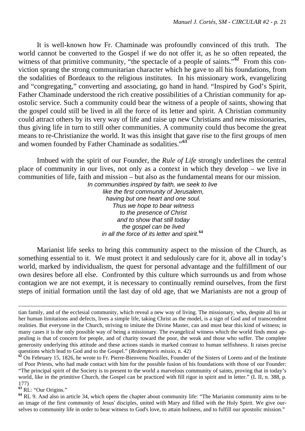It is well-known how Fr. Chaminade was profoundly convinced of this truth. The world cannot be converted to the Gospel if we do not offer it, as he so often repeated, the witness of that primitive community, "the spectacle of a people of saints."<sup>[62](#page-22-0)</sup> From this conviction sprang the strong communitarian character which he gave to all his foundations, from the sodalities of Bordeaux to the religious institutes. In his missionary work, evangelizing and "congregating," converting and associating, go hand in hand. "Inspired by God's Spirit, Father Chaminade understood the rich creative possibilities of a Christian community for apostolic service. Such a community could bear the witness of a people of saints, showing that the gospel could still be lived in all the force of its letter and spirit. A Christian community could attract others by its very way of life and raise up new Christians and new missionaries, thus giving life in turn to still other communities. A community could thus become the great means to re-Christianize the world. It was this insight that [g](#page-22-1)ave rise to the first groups of men and women founded by Father Chaminade as sodalities."**[63](#page-22-1)**

 Imbued with the spirit of our Founder, the *Rule of Life* strongly underlines the central place of community in our lives, not only as a context in which they develop – we live in communities of life, faith and mission – but also as the fundamental means for our mission.

*In communities inspired by faith, we seek to live like the first community of Jerusalem, having but one heart and one soul. Thus we hope to bear witness to the presence of Christ and to show that still today the gospel can be lived in all the force of its letter and spirit*. **[64](#page-22-2)**

 Marianist life seeks to bring this community aspect to the mission of the Church, as something essential to it. We must protect it and sedulously care for it, above all in today's world, marked by individualism, the quest for personal advantage and the fulfillment of our own desires before all else. Confronted by this culture which surrounds us and from whose contagion we are not exempt, it is necessary to continually remind ourselves, from the first steps of initial formation until the last day of old age, that we Marianists are not a group of

<span id="page-22-1"></span>**<sup>63</sup>** RL: "Our Origins."

tian family, and of the ecclesial community, which reveal a new way of living. The missionary, who, despite all his or her human limitations and defects, lives a simple life, taking Christ as the model, is a sign of God and of transcendent realities. But everyone in the Church, striving to imitate the Divine Master, can and must bear this kind of witness; in many cases it is the only possible way of being a missionary. The evangelical witness which the world finds most appealing is that of concern for people, and of charity toward the poor, the weak and those who suffer. The complete generosity underlying this attitude and these actions stands in marked contrast to human selfishness. It raises precise questions which lead to God and to the Gospel." (*Redemptoris missio*, n. 42)

<span id="page-22-0"></span>**<sup>62</sup>** On February 15, 1826, he wrote to Fr. Pierre-Bienvenu Noailles, Founder of the Sisters of Loreto and of the Institute of Poor Priests, who had made contact with him for the possible fusion of his foundations with those of our Founder: "The principal spirit of the Society is to present to the world a marvelous community of saints, proving that in today's world, like in the primitive Church, the Gospel can be practiced with fill rigor in spirit and in letter." (L II, n. 388, p. 177)

<span id="page-22-2"></span>**<sup>64</sup>** RL 9. And also in article 34, which opens the chapter about community life: "The Marianist community aims to be an image of the first community of Jesus' disciples, united with Mary and filled with the Holy Spirit. We give ourselves to community life in order to bear witness to God's love, to attain holiness, and to fulfill our apostolic mission."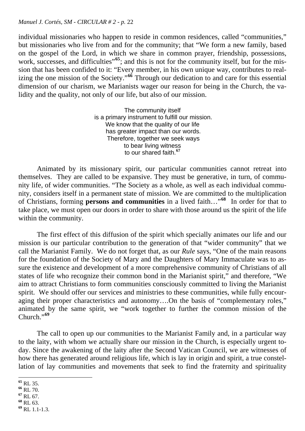individual missionaries who happen to reside in common residences, called "communities," but missionaries who live from and for the community; that "We form a new family, based on the gospel of the Lord, in which we share in common prayer, friendship, possessions, work, successes, and difficulties<sup>"[65](#page-23-0)</sup>; and this is not for the community itself, but for the mission that has been confided to it: "Every member, in his own unique way, contributes to realizing the one mission of the Society."**[66](#page-23-1)** Through our dedication to and care for this essential dimension of our charism, we Marianists wager our reason for being in the Church, the validity and the quality, not only of our life, but also of our mission.

> The community itself is a primary instrument to fulfill our mission. We know that the quality of our life has greater impact than our words. Therefore, together we seek ways to bear living witness to our shared faith.**[67](#page-23-2)**

 Animated by its missionary spirit, our particular communities cannot retreat into themselves. They are called to be expansive. They must be generative, in turn, of community life, of wider communities. "The Society as a whole, as well as each individual community, considers itself in a permanent state of mission. We are committed to the multiplication of Christians, forming **persons and communities** in a lived faith…"**[68](#page-23-3)** In order for that to take place, we must open our doors in order to share with those around us the spirit of the life within the community.

The first effect of this diffusion of the spirit which specially animates our life and our mission is our particular contribution to the generation of that "wider community" that we call the Marianist Family. We do not forget that, as our *Rule* says, "One of the main reasons for the foundation of the Society of Mary and the Daughters of Mary Immaculate was to assure the existence and development of a more comprehensive community of Christians of all states of life who recognize their common bond in the Marianist spirit," and therefore, "We aim to attract Christians to form communities consciously committed to living the Marianist spirit. We should offer our services and ministries to these communities, while fully encouraging their proper characteristics and autonomy....On the basis of "complementary roles," animated by the same spirit, we "work together to further the common mission of the Church."**[69](#page-23-4)**

 The call to open up our communities to the Marianist Family and, in a particular way to the laity, with whom we actually share our mission in the Church, is especially urgent today. Since the awakening of the laity after the Second Vatican Council, we are witnesses of how there has generated around religious life, which is lay in origin and spirit, a true constellation of lay communities and movements that seek to find the fraternity and spirituality

<span id="page-23-0"></span><sup>&</sup>lt;u>.</u> **<sup>65</sup>** RL 35.

<span id="page-23-1"></span>**<sup>66</sup>** RL 70.

<span id="page-23-2"></span>**<sup>67</sup>** RL 67.

<span id="page-23-3"></span>**<sup>68</sup>** RL 63.

<span id="page-23-4"></span>**<sup>69</sup>** RL 1.1-1.3.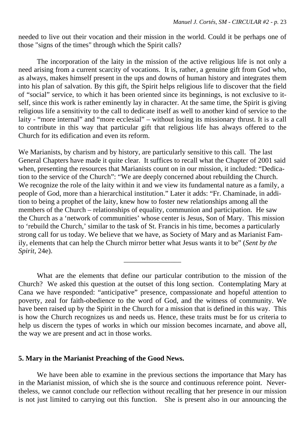needed to live out their vocation and their mission in the world. Could it be perhaps one of those "signs of the times" through which the Spirit calls?

The incorporation of the laity in the mission of the active religious life is not only a need arising from a current scarcity of vocations. It is, rather, a genuine gift from God who, as always, makes himself present in the ups and downs of human history and integrates them into his plan of salvation. By this gift, the Spirit helps religious life to discover that the field of "social" service, to which it has been oriented since its beginnings, is not exclusive to itself, since this work is rather eminently lay in character. At the same time, the Spirit is giving religious life a sensitivity to the call to dedicate itself as well to another kind of service to the laity - "more internal" and "more ecclesial" – without losing its missionary thrust. It is a call to contribute in this way that particular gift that religious life has always offered to the Church for its edification and even its reform.

We Marianists, by charism and by history, are particularly sensitive to this call. The last General Chapters have made it quite clear. It suffices to recall what the Chapter of 2001 said when, presenting the resources that Marianists count on in our mission, it included: "Dedication to the service of the Church": "We are deeply concerned about rebuilding the Church. We recognize the role of the laity within it and we view its fundamental nature as a family, a people of God, more than a hierarchical institution." Later it adds: "Fr. Chaminade, in addition to being a prophet of the laity, knew how to foster new relationships among all the members of the Church – relationships of equality, communion and participation. He saw the Church as a 'network of communities' whose center is Jesus, Son of Mary. This mission to 'rebuild the Church,' similar to the task of St. Francis in his time, becomes a particularly strong call for us today. We believe that we have, as Society of Mary and as Marianist Family, elements that can help the Church mirror better what Jesus wants it to be" (*Sent by the Spirit,* 24e).

What are the elements that define our particular contribution to the mission of the Church? We asked this question at the outset of this long section. Contemplating Mary at Cana we have responded: "anticipative" presence, compassionate and hopeful attention to poverty, zeal for faith-obedience to the word of God, and the witness of community. We have been raised up by the Spirit in the Church for a mission that is defined in this way. This is how the Church recognizes us and needs us. Hence, these traits must be for us criteria to help us discern the types of works in which our mission becomes incarnate, and above all, the way we are present and act in those works.

\_\_\_\_\_\_\_\_\_\_\_\_\_\_\_\_

#### **5. Mary in the Marianist Preaching of the Good News.**

 We have been able to examine in the previous sections the importance that Mary has in the Marianist mission, of which she is the source and continuous reference point. Nevertheless, we cannot conclude our reflection without recalling that her presence in our mission is not just limited to carrying out this function. She is present also in our announcing the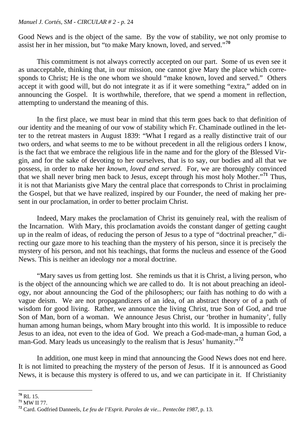Good News and is the object of the same. By the vow of stability, we not only promise to assist her in her mission, but "to make Mary known, loved, and served."**[70](#page-25-0)**

 This commitment is not always correctly accepted on our part. Some of us even see it as unacceptable, thinking that, in our mission, one cannot give Mary the place which corresponds to Christ; He is the one whom we should "make known, loved and served." Others accept it with good will, but do not integrate it as if it were something "extra," added on in announcing the Gospel. It is worthwhile, therefore, that we spend a moment in reflection, attempting to understand the meaning of this.

 In the first place, we must bear in mind that this term goes back to that definition of our identity and the meaning of our vow of stability which Fr. Chaminade outlined in the letter to the retreat masters in August 1839: "What I regard as a really distinctive trait of our two orders, and what seems to me to be without precedent in all the religious orders I know, is the fact that we embrace the religious life in the name and for the glory of the Blessed Virgin, and for the sake of devoting to her ourselves, that is to say, our bodies and all that we possess, in order to make her *known, loved and served*. For, we are thoroughly convinced that we shall never bring men back to Jesus, except through his most holy Mother."**[71](#page-25-1)** Thus, it is not that Marianists give Mary the central place that corresponds to Christ in proclaiming the Gospel, but that we have realized, inspired by our Founder, the need of making her present in our proclamation, in order to better proclaim Christ.

 Indeed, Mary makes the proclamation of Christ its genuinely real, with the realism of the Incarnation. With Mary, this proclamation avoids the constant danger of getting caught up in the realm of ideas, of reducing the person of Jesus to a type of "doctrinal preacher," directing our gaze more to his teaching than the mystery of his person, since it is precisely the mystery of his person, and not his teachings, that forms the nucleus and essence of the Good News. This is neither an ideology nor a moral doctrine.

"Mary saves us from getting lost. She reminds us that it is Christ, a living person, who is the object of the announcing which we are called to do. It is not about preaching an ideology, nor about announcing the God of the philosophers; our faith has nothing to do with a vague deism. We are not propagandizers of an idea, of an abstract theory or of a path of wisdom for good living. Rather, we announce the living Christ, true Son of God, and true Son of Man, born of a woman. We announce Jesus Christ, our 'brother in humanity', fully human among human beings, whom Mary brought into this world. It is impossible to reduce Jesus to an idea, not even to the idea of God. We preach a God-made-man, [a](#page-25-2) human God, a man-God. Mary leads us unceasingly to the realism that is Jesus' humanity."**[72](#page-25-2)**

 In addition, one must keep in mind that announcing the Good News does not end here. It is not limited to preaching the mystery of the person of Jesus. If it is announced as Good News, it is because this mystery is offered to us, and we can participate in it. If Christianity

<sup>1</sup> **<sup>70</sup>** RL 15.

<span id="page-25-1"></span><span id="page-25-0"></span>**<sup>71</sup>** MW II 77.

<span id="page-25-2"></span>**<sup>72</sup>** Card. Godfried Danneels, *Le feu de l'Esprit*. *Paroles de vie... Pentecôte 1987*, p. 13.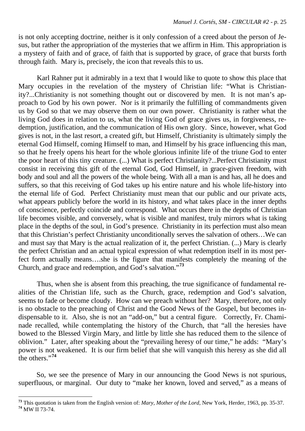is not only accepting doctrine, neither is it only confession of a creed about the person of Jesus, but rather the appropriation of the mysteries that we affirm in Him. This appropriation is a mystery of faith and of grace, of faith that is supported by grace, of grace that bursts forth through faith. Mary is, precisely, the icon that reveals this to us.

Karl Rahner put it admirably in a text that I would like to quote to show this place that Mary occupies in the revelation of the mystery of Christian life: "What is Christianity?...Christianity is not something thought out or discovered by men. It is not man's approach to God by his own power. Nor is it primarily the fulfilling of commandments given us by God so that we may observe them on our own power. Christianity is rather what the living God does in relation to us, what the living God of grace gives us, in forgiveness, redemption, justification, and the communication of His own glory. Since, however, what God gives is not, in the last resort, a created gift, but Himself, Christianity is ultimately simply the eternal God Himself, coming Himself to man, and Himself by his grace influencing this man, so that he freely opens his heart for the whole glorious infinite life of the triune God to enter the poor heart of this tiny creature. (...) What is perfect Christianity?...Perfect Christianity must consist in receiving this gift of the eternal God, God Himself, in grace-given freedom, with body and soul and all the powers of the whole being. With all a man is and has, all he does and suffers, so that this receiving of God takes up his entire nature and his whole life-history into the eternal life of God. Perfect Christianity must mean that our public and our private acts, what appears publicly before the world in its history, and what takes place in the inner depths of conscience, perfectly coincide and correspond. What occurs there in the depths of Christian life becomes visible, and conversely, what is visible and manifest, truly mirrors what is taking place in the depths of the soul, in God's presence. Christianity in its perfection must also mean that this Christian's perfect Christianity unconditionally serves the salvation of others…We can and must say that Mary is the actual realization of it, the perfect Christian. (...) Mary is clearly the perfect Christian and an actual typical expression of what redemption itself in its most perfect form actually means….she is the figure that manif[es](#page-26-0)ts completely the meaning of the Church, and grace and redemption, and God's salvation."**[73](#page-26-0)**

Thus, when she is absent from this preaching, the true significance of fundamental realities of the Christian life, such as the Church, grace, redemption and God's salvation, seems to fade or become cloudy. How can we preach without her? Mary, therefore, not only is no obstacle to the preaching of Christ and the Good News of the Gospel, but becomes indispensable to it. Also, she is not an "add-on," but a central figure. Correctly, Fr. Chaminade recalled, while contemplating the history of the Church, that "all the heresies have bowed to the Blessed Virgin Mary, and little by little she has reduced them to the silence of oblivion." Later, after speaking about the "prevailing heresy of our time," he adds: "Mary's power is not [w](#page-26-1)eakened. It is our firm belief that she will vanquish this heresy as she did all  $\frac{1}{1}$ the others<sup> $,74$  $,74$ </sup>

So, we see the presence of Mary in our announcing the Good News is not spurious, superfluous, or marginal. Our duty to "make her known, loved and served," as a means of

<span id="page-26-1"></span><span id="page-26-0"></span>**<sup>73</sup>** This quotation is taken from the English version of: *Mary, Mother of the Lord,* New York, Herder, 1963, pp. 35-37. **<sup>74</sup>** MW II 73-74.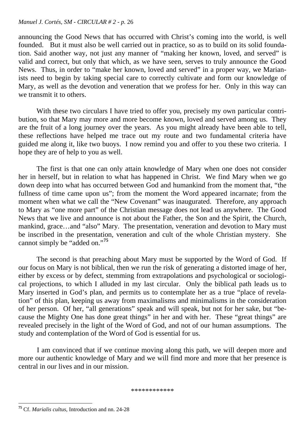announcing the Good News that has occurred with Christ's coming into the world, is well founded. But it must also be well carried out in practice, so as to build on its solid foundation. Said another way, not just any manner of "making her known, loved, and served" is valid and correct, but only that which, as we have seen, serves to truly announce the Good News. Thus, in order to "make her known, loved and served" in a proper way, we Marianists need to begin by taking special care to correctly cultivate and form our knowledge of Mary, as well as the devotion and veneration that we profess for her. Only in this way can we transmit it to others.

With these two circulars I have tried to offer you, precisely my own particular contribution, so that Mary may more and more become known, loved and served among us. They are the fruit of a long journey over the years. As you might already have been able to tell, these reflections have helped me trace out my route and two fundamental criteria have guided me along it, like two buoys. I now remind you and offer to you these two criteria. I hope they are of help to you as well.

The first is that one can only attain knowledge of Mary when one does not consider her in herself, but in relation to what has happened in Christ. We find Mary when we go down deep into what has occurred between God and humankind from the moment that, "the fullness of time came upon us"; from the moment the Word appeared incarnate; from the moment when what we call the "New Covenant" was inaugurated. Therefore, any approach to Mary as "one more part" of the Christian message does not lead us anywhere. The Good News that we live and announce is not about the Father, the Son and the Spirit, the Church, mankind, grace…and "also" Mary. The presentation, veneration and devotion to Mary must be inscribed in the presentation, veneration and cult of the whole Christian mystery. She cannot simply be "added on."<sup>[75](#page-27-0)</sup>

The second is that preaching about Mary must be supported by the Word of God. If our focus on Mary is not biblical, then we run the risk of generating a distorted image of her, either by excess or by defect, stemming from extrapolations and psychological or sociological projections, to which I alluded in my last circular. Only the biblical path leads us to Mary inserted in God's plan, and permits us to contemplate her as a true "place of revelation" of this plan, keeping us away from maximalisms and minimalisms in the consideration of her person. Of her, "all generations" speak and will speak, but not for her sake, but "because the Mighty One has done great things" in her and with her. These "great things" are revealed precisely in the light of the Word of God, and not of our human assumptions. The study and contemplation of the Word of God is essential for us.

 I am convinced that if we continue moving along this path, we will deepen more and more our authentic knowledge of Mary and we will find more and more that her presence is central in our lives and in our mission.

\*\*\*\*\*\*\*\*\*\*\*\*

<span id="page-27-0"></span>**<sup>75</sup>** Cf. *Marialis cultus*, Introduction and nn. 24-28